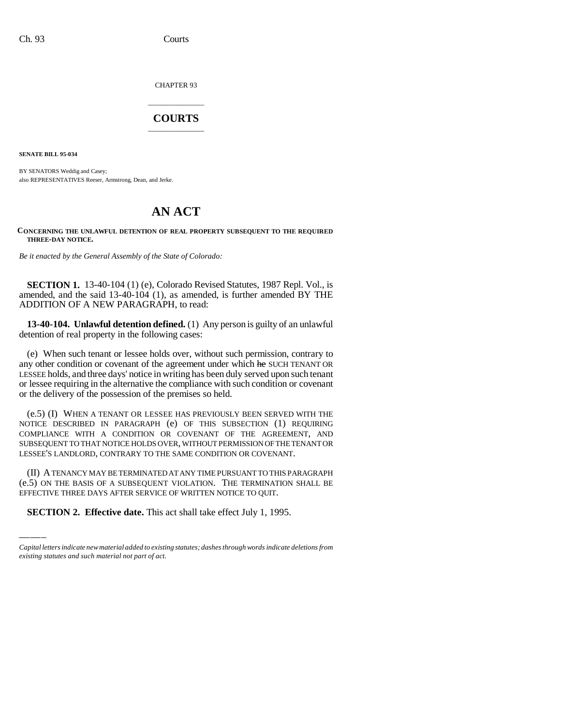CHAPTER 93

## \_\_\_\_\_\_\_\_\_\_\_\_\_\_\_ **COURTS** \_\_\_\_\_\_\_\_\_\_\_\_\_\_\_

**SENATE BILL 95-034**

BY SENATORS Weddig and Casey; also REPRESENTATIVES Reeser, Armstrong, Dean, and Jerke.

## **AN ACT**

## **CONCERNING THE UNLAWFUL DETENTION OF REAL PROPERTY SUBSEQUENT TO THE REQUIRED THREE-DAY NOTICE.**

*Be it enacted by the General Assembly of the State of Colorado:*

**SECTION 1.** 13-40-104 (1) (e), Colorado Revised Statutes, 1987 Repl. Vol., is amended, and the said 13-40-104 (1), as amended, is further amended BY THE ADDITION OF A NEW PARAGRAPH, to read:

**13-40-104. Unlawful detention defined.** (1) Any person is guilty of an unlawful detention of real property in the following cases:

(e) When such tenant or lessee holds over, without such permission, contrary to any other condition or covenant of the agreement under which he SUCH TENANT OR LESSEE holds, and three days' notice in writing has been duly served upon such tenant or lessee requiring in the alternative the compliance with such condition or covenant or the delivery of the possession of the premises so held.

(e.5) (I) WHEN A TENANT OR LESSEE HAS PREVIOUSLY BEEN SERVED WITH THE NOTICE DESCRIBED IN PARAGRAPH (e) OF THIS SUBSECTION (1) REQUIRING COMPLIANCE WITH A CONDITION OR COVENANT OF THE AGREEMENT, AND SUBSEQUENT TO THAT NOTICE HOLDS OVER, WITHOUT PERMISSION OF THE TENANT OR LESSEE'S LANDLORD, CONTRARY TO THE SAME CONDITION OR COVENANT.

(II) A TENANCY MAY BE TERMINATED AT ANY TIME PURSUANT TO THIS PARAGRAPH (e.5) ON THE BASIS OF A SUBSEQUENT VIOLATION. THE TERMINATION SHALL BE EFFECTIVE THREE DAYS AFTER SERVICE OF WRITTEN NOTICE TO QUIT.

**SECTION 2. Effective date.** This act shall take effect July 1, 1995.

*Capital letters indicate new material added to existing statutes; dashes through words indicate deletions from existing statutes and such material not part of act.*